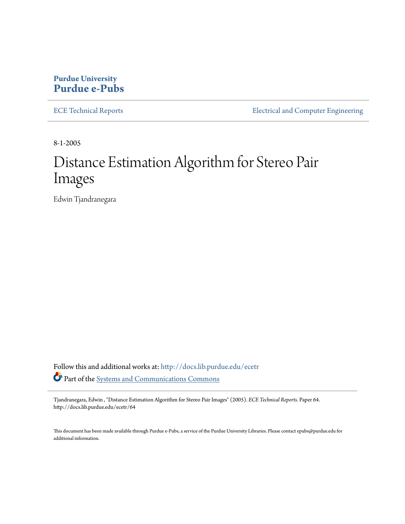### **Purdue University [Purdue e-Pubs](http://docs.lib.purdue.edu?utm_source=docs.lib.purdue.edu%2Fecetr%2F64&utm_medium=PDF&utm_campaign=PDFCoverPages)**

[ECE Technical Reports](http://docs.lib.purdue.edu/ecetr?utm_source=docs.lib.purdue.edu%2Fecetr%2F64&utm_medium=PDF&utm_campaign=PDFCoverPages) **ELECTE ELECTE ENGINEER** ELECTECIA and Computer Engineering

8-1-2005

# Distance Estimation Algorithm for Stereo Pair Images

Edwin Tjandranegara

Follow this and additional works at: [http://docs.lib.purdue.edu/ecetr](http://docs.lib.purdue.edu/ecetr?utm_source=docs.lib.purdue.edu%2Fecetr%2F64&utm_medium=PDF&utm_campaign=PDFCoverPages) Part of the [Systems and Communications Commons](http://network.bepress.com/hgg/discipline/276?utm_source=docs.lib.purdue.edu%2Fecetr%2F64&utm_medium=PDF&utm_campaign=PDFCoverPages)

Tjandranegara, Edwin , "Distance Estimation Algorithm for Stereo Pair Images" (2005). *ECE Technical Reports.* Paper 64. http://docs.lib.purdue.edu/ecetr/64

This document has been made available through Purdue e-Pubs, a service of the Purdue University Libraries. Please contact epubs@purdue.edu for additional information.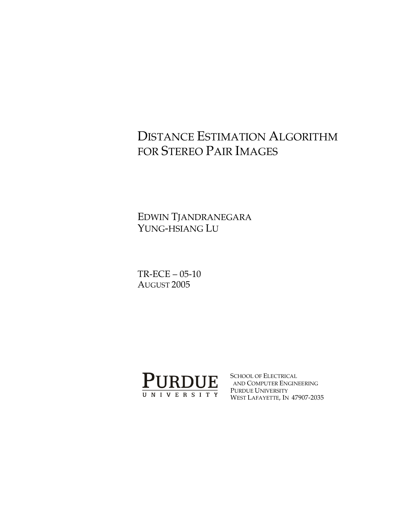## DISTANCE ESTIMATION ALGORITHM FOR STEREO PAIR IMAGES

EDWIN TJANDRANEGARA YUNG-HSIANG LU

TR-ECE – 05-10 AUGUST 2005



SCHOOL OF ELECTRICAL AND COMPUTER ENGINEERING PURDUE UNIVERSITY WEST LAFAYETTE, IN 47907-2035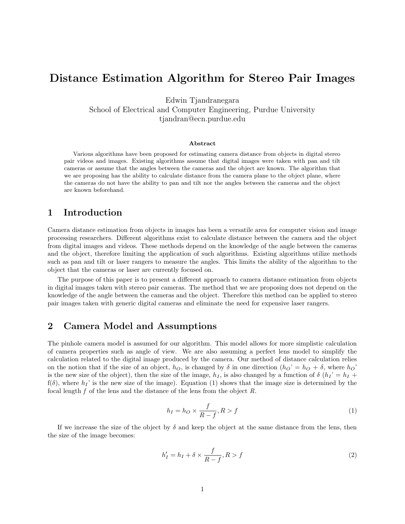## Distance Estimation Algorithm for Stereo Pair Images

Edwin Tjandranegara School of Electrical and Computer Engineering, Purdue University tjandran@ecn.purdue.edu

#### Abstract

Various algorithms have been proposed for estimating camera distance from objects in digital stereo pair videos and images. Existing algorithms assume that digital images were taken with pan and tilt cameras or assume that the angles between the cameras and the object are known. The algorithm that we are proposing has the ability to calculate distance from the camera plane to the object plane, where the cameras do not have the ability to pan and tilt nor the angles between the cameras and the object are known beforehand.

#### 1 Introduction

Camera distance estimation from objects in images has been a versatile area for computer vision and image processing researchers. Different algorithms exist to calculate distance between the camera and the object from digital images and videos. These methods depend on the knowledge of the angle between the cameras and the object, therefore limiting the application of such algorithms. Existing algorithms utilize methods such as pan and tilt or laser rangers to measure the angles. This limits the ability of the algorithm to the object that the cameras or laser are currently focused on.

The purpose of this paper is to present a different approach to camera distance estimation from objects in digital images taken with stereo pair cameras. The method that we are proposing does not depend on the knowledge of the angle between the cameras and the object. Therefore this method can be applied to stereo pair images taken with generic digital cameras and eliminate the need for expensive laser rangers.

#### 2 Camera Model and Assumptions

The pinhole camera model is assumed for our algorithm. This model allows for more simplistic calculation of camera properties such as angle of view. We are also assuming a perfect lens model to simplify the calculation related to the digital image produced by the camera. Our method of distance calculation relies on the notion that if the size of an object,  $h_O$ , is changed by  $\delta$  in one direction  $(h_O' = h_O + \delta$ , where  $h_O'$ is the new size of the object), then the size of the image,  $h_I$ , is also changed by a function of  $\delta (h_I) = h_I +$  $f(\delta)$ , where  $h_I$  is the new size of the image). Equation (1) shows that the image size is determined by the focal length f of the lens and the distance of the lens from the object  $R$ .

$$
h_I = h_O \times \frac{f}{R - f}, R > f \tag{1}
$$

If we increase the size of the object by  $\delta$  and keep the object at the same distance from the lens, then the size of the image becomes:

$$
h'_I = h_I + \delta \times \frac{f}{R - f}, R > f \tag{2}
$$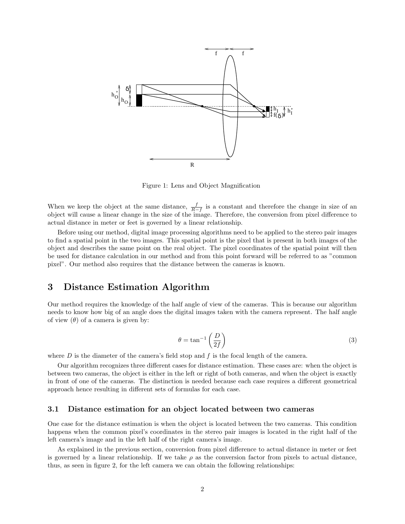

Figure 1: Lens and Object Magnification

When we keep the object at the same distance,  $\frac{f}{R-f}$  is a constant and therefore the change in size of an object will cause a linear change in the size of the image. Therefore, the conversion from pixel difference to actual distance in meter or feet is governed by a linear relationship.

Before using our method, digital image processing algorithms need to be applied to the stereo pair images to find a spatial point in the two images. This spatial point is the pixel that is present in both images of the object and describes the same point on the real object. The pixel coordinates of the spatial point will then be used for distance calculation in our method and from this point forward will be referred to as "common pixel". Our method also requires that the distance between the cameras is known.

#### 3 Distance Estimation Algorithm

Our method requires the knowledge of the half angle of view of the cameras. This is because our algorithm needs to know how big of an angle does the digital images taken with the camera represent. The half angle of view  $(\theta)$  of a camera is given by:

$$
\theta = \tan^{-1}\left(\frac{D}{2f}\right) \tag{3}
$$

where  $D$  is the diameter of the camera's field stop and  $f$  is the focal length of the camera.

Our algorithm recognizes three different cases for distance estimation. These cases are: when the object is between two cameras, the object is either in the left or right of both cameras, and when the object is exactly in front of one of the cameras. The distinction is needed because each case requires a different geometrical approach hence resulting in different sets of formulas for each case.

#### 3.1 Distance estimation for an object located between two cameras

One case for the distance estimation is when the object is located between the two cameras. This condition happens when the common pixel's coordinates in the stereo pair images is located in the right half of the left camera's image and in the left half of the right camera's image.

As explained in the previous section, conversion from pixel difference to actual distance in meter or feet is governed by a linear relationship. If we take  $\rho$  as the conversion factor from pixels to actual distance, thus, as seen in figure 2, for the left camera we can obtain the following relationships: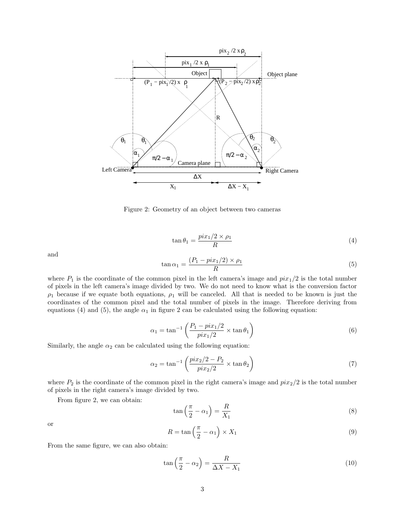

Figure 2: Geometry of an object between two cameras

$$
\tan \theta_1 = \frac{pix_1/2 \times \rho_1}{R} \tag{4}
$$

and

$$
\tan \alpha_1 = \frac{(P_1 - \pi i x_1/2) \times \rho_1}{R} \tag{5}
$$

where  $P_1$  is the coordinate of the common pixel in the left camera's image and  $pix_1/2$  is the total number of pixels in the left camera's image divided by two. We do not need to know what is the conversion factor  $\rho_1$  because if we equate both equations,  $\rho_1$  will be canceled. All that is needed to be known is just the coordinates of the common pixel and the total number of pixels in the image. Therefore deriving from equations (4) and (5), the angle  $\alpha_1$  in figure 2 can be calculated using the following equation:

$$
\alpha_1 = \tan^{-1}\left(\frac{P_1 - \text{pix}_1/2}{\text{pix}_1/2} \times \tan \theta_1\right) \tag{6}
$$

Similarly, the angle  $\alpha_2$  can be calculated using the following equation:

$$
\alpha_2 = \tan^{-1}\left(\frac{pix_2/2 - P_2}{pix_2/2} \times \tan \theta_2\right) \tag{7}
$$

where  $P_2$  is the coordinate of the common pixel in the right camera's image and  $pix_2/2$  is the total number of pixels in the right camera's image divided by two.

From figure 2, we can obtain:

$$
\tan\left(\frac{\pi}{2} - \alpha_1\right) = \frac{R}{X_1} \tag{8}
$$

or

$$
R = \tan\left(\frac{\pi}{2} - \alpha_1\right) \times X_1 \tag{9}
$$

From the same figure, we can also obtain:

$$
\tan\left(\frac{\pi}{2} - \alpha_2\right) = \frac{R}{\Delta X - X_1} \tag{10}
$$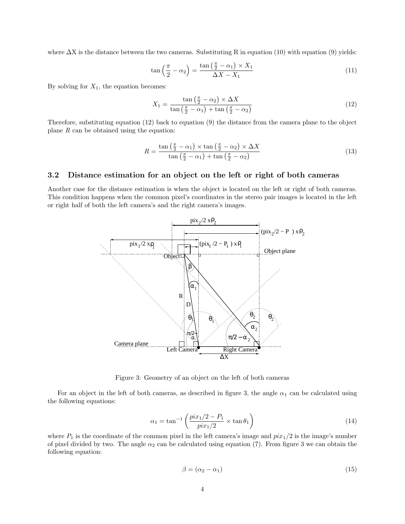where  $\Delta X$  is the distance between the two cameras. Substituting R in equation (10) with equation (9) yields:

$$
\tan\left(\frac{\pi}{2} - \alpha_2\right) = \frac{\tan\left(\frac{\pi}{2} - \alpha_1\right) \times X_1}{\Delta X - X_1} \tag{11}
$$

By solving for  $X_1$ , the equation becomes:

$$
X_1 = \frac{\tan\left(\frac{\pi}{2} - \alpha_2\right) \times \Delta X}{\tan\left(\frac{\pi}{2} - \alpha_1\right) + \tan\left(\frac{\pi}{2} - \alpha_2\right)}\tag{12}
$$

Therefore, substituting equation (12) back to equation (9) the distance from the camera plane to the object plane  $R$  can be obtained using the equation:

$$
R = \frac{\tan\left(\frac{\pi}{2} - \alpha_1\right) \times \tan\left(\frac{\pi}{2} - \alpha_2\right) \times \Delta X}{\tan\left(\frac{\pi}{2} - \alpha_1\right) + \tan\left(\frac{\pi}{2} - \alpha_2\right)}\tag{13}
$$

#### 3.2 Distance estimation for an object on the left or right of both cameras

Another case for the distance estimation is when the object is located on the left or right of both cameras. This condition happens when the common pixel's coordinates in the stereo pair images is located in the left or right half of both the left camera's and the right camera's images.



Figure 3: Geometry of an object on the left of both cameras

For an object in the left of both cameras, as described in figure 3, the angle  $\alpha_1$  can be calculated using the following equations:

$$
\alpha_1 = \tan^{-1}\left(\frac{pix_1/2 - P_1}{pix_1/2} \times \tan\theta_1\right) \tag{14}
$$

where  $P_1$  is the coordinate of the common pixel in the left camera's image and  $pix_1/2$  is the image's number of pixel divided by two. The angle  $\alpha_2$  can be calculated using equation (7). From figure 3 we can obtain the following equation:

$$
\beta = (\alpha_2 - \alpha_1) \tag{15}
$$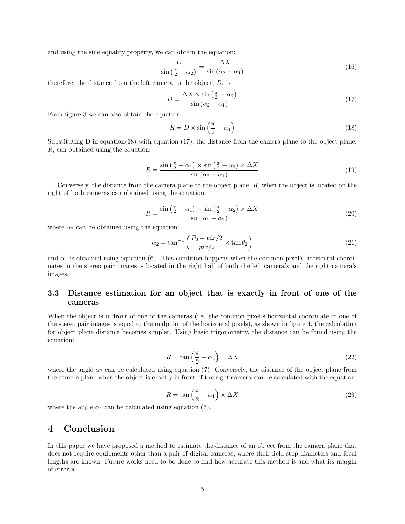and using the sine equality property, we can obtain the equation:

$$
\frac{D}{\sin\left(\frac{\pi}{2} - \alpha_2\right)} = \frac{\Delta X}{\sin\left(\alpha_2 - \alpha_1\right)}\tag{16}
$$

therefore, the distance from the left camera to the object,  $D$ , is:

$$
D = \frac{\Delta X \times \sin\left(\frac{\pi}{2} - \alpha_2\right)}{\sin\left(\alpha_2 - \alpha_1\right)}\tag{17}
$$

From figure 3 we can also obtain the equation

$$
R = D \times \sin\left(\frac{\pi}{2} - \alpha_1\right) \tag{18}
$$

Substituting D in equation(18) with equation (17), the distance from the camera plane to the object plane, R, can obtained using the equation:

$$
R = \frac{\sin\left(\frac{\pi}{2} - \alpha_1\right) \times \sin\left(\frac{\pi}{2} - \alpha_2\right) \times \Delta X}{\sin\left(\alpha_2 - \alpha_1\right)}\tag{19}
$$

Conversely, the distance from the camera plane to the object plane,  $R$ , when the object is located on the right of both cameras can obtained using the equation:

$$
R = \frac{\sin\left(\frac{\pi}{2} - \alpha_1\right) \times \sin\left(\frac{\pi}{2} - \alpha_2\right) \times \Delta X}{\sin\left(\alpha_1 - \alpha_2\right)}\tag{20}
$$

where  $\alpha_2$  can be obtained using the equation:

$$
\alpha_2 = \tan^{-1}\left(\frac{P_2 - \text{pix}/2}{\text{pix}/2} \times \tan \theta_2\right) \tag{21}
$$

and  $\alpha_1$  is obtained using equation (6). This condition happens when the common pixel's horizontal coordinates in the stereo pair images is located in the right half of both the left camera's and the right camera's images.

#### 3.3 Distance estimation for an object that is exactly in front of one of the cameras

When the object is in front of one of the cameras (i.e. the common pixel's horizontal coordinate in one of the stereo pair images is equal to the midpoint of the horizontal pixels), as shown in figure 4, the calculation for object plane distance becomes simpler. Using basic trigonometry, the distance can be found using the equation:

$$
R = \tan\left(\frac{\pi}{2} - \alpha_2\right) \times \Delta X \tag{22}
$$

where the angle  $\alpha_2$  can be calculated using equation (7). Conversely, the distance of the object plane from the camera plane when the object is exactly in front of the right camera can be calculated with the equation:

$$
R = \tan\left(\frac{\pi}{2} - \alpha_1\right) \times \Delta X \tag{23}
$$

where the angle  $\alpha_1$  can be calculated using equation (6).

#### 4 Conclusion

In this paper we have proposed a method to estimate the distance of an object from the camera plane that does not require equipments other than a pair of digital cameras, where their field stop diameters and focal lengths are known. Future works need to be done to find how accurate this method is and what its margin of error is.